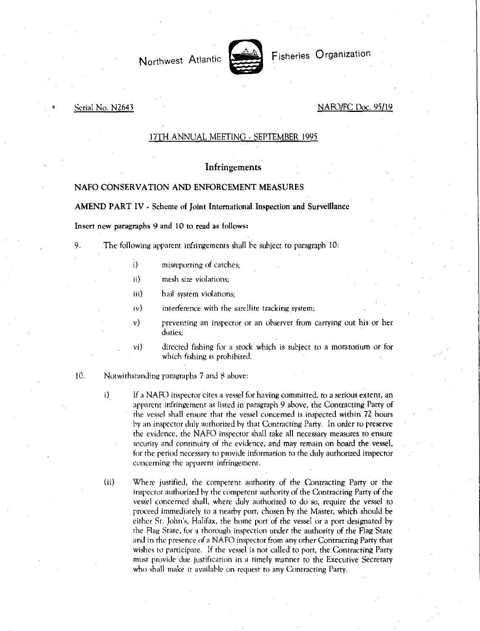Northwest Atlantic Fisheries Organization



#### Serial No. N2643 NAFO/FC Doc. 95/19

### 17TH ANNUAL MEETING - SEPTEMBER 1995

## Infringements

# NAFO CONSERVATION AND ENFORCEMENT MEASURES

AMEND PART IV - Scheme of Joint International Inspection and Surveillance

Insert new paragraphs 9 and 10 to read as follows:

- 9. The following apparent infringements shall be subject to paragraph 10:
	- i) misreporting of catches;
	- ii) mesh size violations;
	- iii) hail system violations;
	- iv) interference with the satellite tracking system;
	- v) preventing an inspector or an observer from carrying out his or her duties;
	- vi) directed fishing for a stock which is subject to a moratorium or for which fishing is prohibited.
- 10. Notwithstanding paragraphs 7 and 8 above:
	- i) If a NAFO inspector cites a vessel for having committed, to a serious extent; an apparent infringement as listed in paragraph 9 above, the Contracting Party of the vessel shall ensure that the vessel concerned is inspected within 72 hours by an inspector duly authorized by that Contracting Party. In order to preserve the evidence, the NAFO inspector shall take all necessary measures to ensure security and continuity of the evidence, and may remain on board the vessel, for the period necessary to provide information to the duly authorized inspector concerning the apparent infringement.
	- (ii) Where justified, the competent authority of the Contracting Party or the inspector authorized by the competent authority of the Contracting Party of the vessel concerned shall, where duly authorized to do so, require the vessel to proceed immediately to a nearby port, chosen by the Master, which should be either St. John's, Halifax, the home port of the vessel or a port designated by the Flag State, for a thorough inspection under the authority of the Flag State and in the presence of a NAFO inspector from any other Contracting Party that wishes to participate. If the vessel is not called to port, the Contracting Party must provide due justification in a timely manner to the Executive Secretary who shall make it available on request to any Contracting Party.